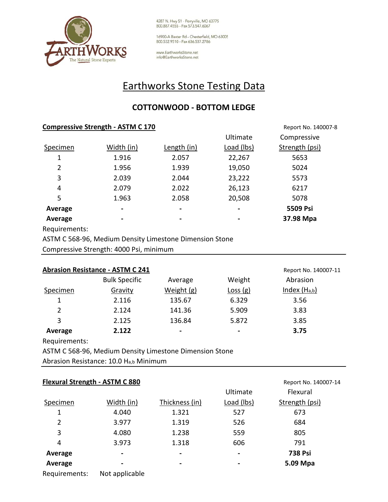

4287 N. Hwy 51 - Perryville, MO 63775<br>800.887.4555 - Fax 573.547.6067

16900-A Baxter Rd - Chesterfield, MO 63005 800.532.9510 - Fax 636.537.2786

www.EarthworksStone.net info@EarthworksStone.net

## Earthworks Stone Testing Data

## **COTTONWOOD - BOTTOM LEDGE**

|                         | <b>Compressive Strength - ASTM C 170</b> | Report No. 140007-8 |            |                |  |
|-------------------------|------------------------------------------|---------------------|------------|----------------|--|
|                         |                                          |                     | Ultimate   | Compressive    |  |
| Specimen                | Width (in)                               | Length (in)         | Load (lbs) | Strength (psi) |  |
| 1                       | 1.916                                    | 2.057               | 22,267     | 5653           |  |
| 2                       | 1.956                                    | 1.939               | 19,050     | 5024           |  |
| 3                       | 2.039                                    | 2.044               | 23,222     | 5573           |  |
| 4                       | 2.079                                    | 2.022               | 26,123     | 6217           |  |
| 5                       | 1.963                                    | 2.058               | 20,508     | 5078           |  |
| Average                 | $\blacksquare$                           | -                   |            | 5509 Psi       |  |
| Average                 | $\blacksquare$                           | ۰                   |            | 37.98 Mpa      |  |
| Die anticke der ein Een |                                          |                     |            |                |  |

Requirements:

ASTM C 568-96, Medium Density Limestone Dimension Stone

Compressive Strength: 4000 Psi, minimum

| <b>Abrasion Resistance - ASTM C 241</b> | Report No. 140007-11 |                 |         |                |
|-----------------------------------------|----------------------|-----------------|---------|----------------|
|                                         | <b>Bulk Specific</b> | Average         | Weight  | Abrasion       |
| Specimen                                | Gravity              | Weight (g)      | Loss(g) | Index $(Ha,b)$ |
|                                         | 2.116                | 135.67          | 6.329   | 3.56           |
| 2                                       | 2.124                | 141.36          | 5.909   | 3.83           |
| 3                                       | 2.125                | 136.84          | 5.872   | 3.85           |
| Average                                 | 2.122                | $\qquad \qquad$ | ٠       | 3.75           |

Requirements:

ASTM C 568-96, Medium Density Limestone Dimension Stone

Abrasion Resistance: 10.0 Ha,b Minimum

| <b>Flexural Strength - ASTM C 880</b> |                |                | Report No. 140007-14 |                |  |  |
|---------------------------------------|----------------|----------------|----------------------|----------------|--|--|
|                                       |                |                | Ultimate             | Flexural       |  |  |
| Specimen                              | Width (in)     | Thickness (in) | Load (lbs)           | Strength (psi) |  |  |
| 1                                     | 4.040          | 1.321          | 527                  | 673            |  |  |
| 2                                     | 3.977          | 1.319          | 526                  | 684            |  |  |
| 3                                     | 4.080          | 1.238          | 559                  | 805            |  |  |
| 4                                     | 3.973          | 1.318          | 606                  | 791            |  |  |
| Average                               |                | $\blacksquare$ | $\blacksquare$       | <b>738 Psi</b> |  |  |
| Average                               |                | $\blacksquare$ | $\blacksquare$       | 5.09 Mpa       |  |  |
| Requirements:                         | Not applicable |                |                      |                |  |  |